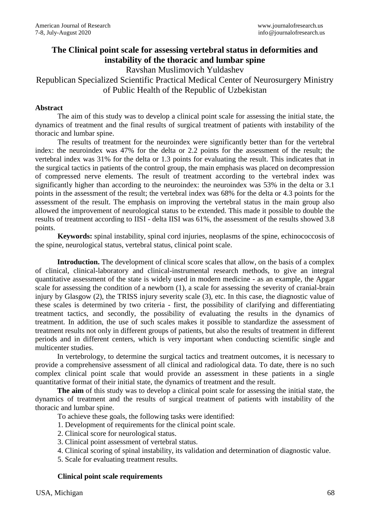# **The Clinical point scale for assessing vertebral status in deformities and instability of the thoracic and lumbar spine**

Ravshan Muslimovich Yuldashev

# Republican Specialized Scientific Practical Medical Center of Neurosurgery Ministry of Public Health of the Republic of Uzbekistan

# **Abstract**

The aim of this study was to develop a clinical point scale for assessing the initial state, the dynamics of treatment and the final results of surgical treatment of patients with instability of the thoracic and lumbar spine.

The results of treatment for the neuroindex were significantly better than for the vertebral index: the neuroindex was 47% for the delta or 2.2 points for the assessment of the result; the vertebral index was 31% for the delta or 1.3 points for evaluating the result. This indicates that in the surgical tactics in patients of the control group, the main emphasis was placed on decompression of compressed nerve elements. The result of treatment according to the vertebral index was significantly higher than according to the neuroindex: the neuroindex was 53% in the delta or 3.1 points in the assessment of the result; the vertebral index was 68% for the delta or 4.3 points for the assessment of the result. The emphasis on improving the vertebral status in the main group also allowed the improvement of neurological status to be extended. This made it possible to double the results of treatment according to IISI - delta IISI was 61%, the assessment of the results showed 3.8 points.

**Keywords:** spinal instability, spinal cord injuries, neoplasms of the spine, echinococcosis of the spine, neurological status, vertebral status, clinical point scale.

Introduction. The development of clinical score scales that allow, on the basis of a complex of clinical, clinical-laboratory and clinical-instrumental research methods, to give an integral quantitative assessment of the state is widely used in modern medicine - as an example, the Apgar scale for assessing the condition of a newborn (1), a scale for assessing the severity of cranial-brain injury by Glasgow (2), the TRISS injury severity scale (3), etc. In this case, the diagnostic value of these scales is determined by two criteria - first, the possibility of clarifying and differentiating treatment tactics, and secondly, the possibility of evaluating the results in the dynamics of treatment. In addition, the use of such scales makes it possible to standardize the assessment of treatment results not only in different groups of patients, but also the results of treatment in different periods and in different centers, which is very important when conducting scientific single and multicenter studies.

In vertebrology, to determine the surgical tactics and treatment outcomes, it is necessary to provide a comprehensive assessment of all clinical and radiological data. To date, there is no such complex clinical point scale that would provide an assessment in these patients in a single quantitative format of their initial state, the dynamics of treatment and the result.

**The aim** of this study was to develop a clinical point scale for assessing the initial state, the dynamics of treatment and the results of surgical treatment of patients with instability of the thoracic and lumbar spine.

To achieve these goals, the following tasks were identified:

- 1. Development of requirements for the clinical point scale.
- 2. Clinical score for neurological status.
- 3. Clinical point assessment of vertebral status.
- 4. Clinical scoring of spinal instability, its validation and determination of diagnostic value.
- 5. Scale for evaluating treatment results.

### **Clinical point scale requirements**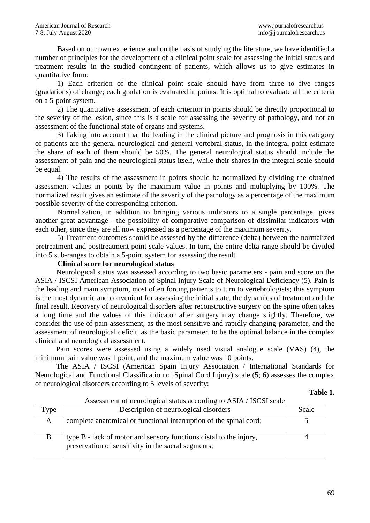Based on our own experience and on the basis of studying the literature, we have identified a number of principles for the development of a clinical point scale for assessing the initial status and treatment results in the studied contingent of patients, which allows us to give estimates in quantitative form:

1) Each criterion of the clinical point scale should have from three to five ranges (gradations) of change; each gradation is evaluated in points. It is optimal to evaluate all the criteria on a 5-point system.

2) The quantitative assessment of each criterion in points should be directly proportional to the severity of the lesion, since this is a scale for assessing the severity of pathology, and not an assessment of the functional state of organs and systems.

3) Taking into account that the leading in the clinical picture and prognosis in this category of patients are the general neurological and general vertebral status, in the integral point estimate the share of each of them should be 50%. The general neurological status should include the assessment of pain and the neurological status itself, while their shares in the integral scale should be equal.

4) The results of the assessment in points should be normalized by dividing the obtained assessment values in points by the maximum value in points and multiplying by 100%. The normalized result gives an estimate of the severity of the pathology as a percentage of the maximum possible severity of the corresponding criterion.

Normalization, in addition to bringing various indicators to a single percentage, gives another great advantage - the possibility of comparative comparison of dissimilar indicators with each other, since they are all now expressed as a percentage of the maximum severity.

5) Treatment outcomes should be assessed by the difference (delta) between the normalized pretreatment and posttreatment point scale values. In turn, the entire delta range should be divided into 5 sub-ranges to obtain a 5-point system for assessing the result.

## **Clinical score for neurological status**

Neurological status was assessed according to two basic parameters - pain and score on the ASIA / ISCSI American Association of Spinal Injury Scale of Neurological Deficiency (5). Pain is the leading and main symptom, most often forcing patients to turn to vertebrologists; this symptom is the most dynamic and convenient for assessing the initial state, the dynamics of treatment and the final result. Recovery of neurological disorders after reconstructive surgery on the spine often takes a long time and the values of this indicator after surgery may change slightly. Therefore, we consider the use of pain assessment, as the most sensitive and rapidly changing parameter, and the assessment of neurological deficit, as the basic parameter, to be the optimal balance in the complex clinical and neurological assessment.

Pain scores were assessed using a widely used visual analogue scale (VAS) (4), the minimum pain value was 1 point, and the maximum value was 10 points.

The ASIA / ISCSI (American Spain Injury Association / International Standards for Neurological and Functional Classification of Spinal Cord Injury) scale (5; 6) assesses the complex of neurological disorders according to 5 levels of severity:

#### **Table 1.**

| Type | Description of neurological disorders                                                                                     | Scale |
|------|---------------------------------------------------------------------------------------------------------------------------|-------|
| A    | complete anatomical or functional interruption of the spinal cord;                                                        |       |
| B    | type B - lack of motor and sensory functions distal to the injury,<br>preservation of sensitivity in the sacral segments; |       |

Assessment of neurological status according to ASIA / ISCSI scale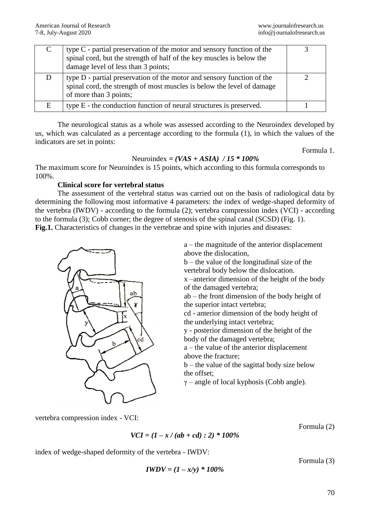|   | type $C$ - partial preservation of the motor and sensory function of the<br>spinal cord, but the strength of half of the key muscles is below the<br>damage level of less than 3 points; |  |
|---|------------------------------------------------------------------------------------------------------------------------------------------------------------------------------------------|--|
|   | type D - partial preservation of the motor and sensory function of the<br>spinal cord, the strength of most muscles is below the level of damage<br>of more than 3 points;               |  |
| E | type E - the conduction function of neural structures is preserved.                                                                                                                      |  |

The neurological status as a whole was assessed according to the Neuroindex developed by us, which was calculated as a percentage according to the formula (1), in which the values of the indicators are set in points:

Formula 1.

# Neuroindex *= (VAS + ASIA) / 15 \* 100%*

The maximum score for Neuroindex is 15 points, which according to this formula corresponds to 100%.

# **Clinical score for vertebral status**

The assessment of the vertebral status was carried out on the basis of radiological data by determining the following most informative 4 parameters: the index of wedge-shaped deformity of the vertebra (IWDV) - according to the formula (2); vertebra compression index (VCI) - according to the formula (3); Cobb corner; the degree of stenosis of the spinal canal (SCSD) (Fig. 1). Fig.1. Characteristics of changes in the vertebrae and spine with injuries and diseases:



a – the magnitude of the anterior displacement above the dislocation,

b – the value of the longitudinal size of the vertebral body below the dislocation.

x –anterior dimension of the height of the body of the damaged vertebra;

ab – the front dimension of the body height of the superior intact vertebra;

cd - anterior dimension of the body height of the underlying intact vertebra;

y - posterior dimension of the height of the body of the damaged vertebra;

a – the value of the anterior displacement above the fracture;

 $b$  – the value of the sagittal body size below the offset;

 $\gamma$  – angle of local kyphosis (Cobb angle).

vertebra compression index - VCI:

*VCI = (1 – x / (ab + cd) : 2) \* 100%*

Formula (2)

index of wedge-shaped deformity of the vertebra - IWDV:

$$
IWDV = (1 - x/y) * 100\%
$$

Formula (3)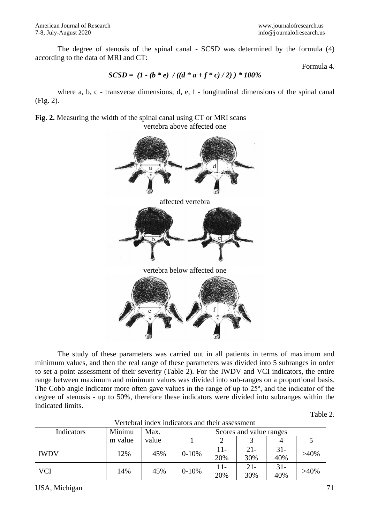The degree of stenosis of the spinal canal - SCSD was determined by the formula (4) according to the data of MRI and CT:

Formula 4.

SCSD = 
$$
(1 - (b * e) / ((d * a + f * c) / 2)) * 100%
$$

where a, b, c - transverse dimensions; d, e, f - longitudinal dimensions of the spinal canal (Fig. 2).

**Fig. 2.** Measuring the width of the spinal canal using CT or MRI scans vertebra above affected one



The study of these parameters was carried out in all patients in terms of maximum and minimum values, and then the real range of these parameters was divided into 5 subranges in order to set a point assessment of their severity (Table 2). For the IWDV and VCI indicators, the entire range between maximum and minimum values was divided into sub-ranges on a proportional basis. The Cobb angle indicator more often gave values in the range of up to 25º, and the indicator of the degree of stenosis - up to 50%, therefore these indicators were divided into subranges within the indicated limits.

| Indicators  | Minimu  | Max.  | Scores and value ranges |            |               |               |         |  |  |
|-------------|---------|-------|-------------------------|------------|---------------|---------------|---------|--|--|
|             | m value | value |                         |            |               |               |         |  |  |
| <b>IWDV</b> | 12%     | 45%   | $0 - 10%$               | 11-<br>20% | $21 -$<br>30% | $31 -$<br>40% | $>40\%$ |  |  |
| <b>VCI</b>  | 14%     | 45%   | $0 - 10%$               | 11-<br>20% | $21 -$<br>30% | $31 -$<br>40% | $>40\%$ |  |  |

Vertebral index indicators and their assessment

USA, Michigan 71

Table 2.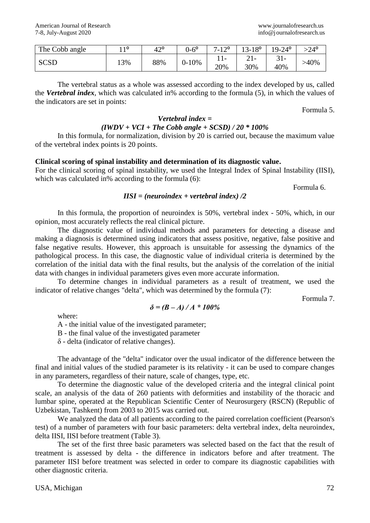| The Cobb angle | 10<br>. . | $42^{\circ}$ | $0-6^{\circ}$ | 100<br>$\overline{ }$<br>$-14$ | $13 - 18^{\circ}$   | $19 - 24$ °               | $>24^{\circ}$ |
|----------------|-----------|--------------|---------------|--------------------------------|---------------------|---------------------------|---------------|
| <b>SCSD</b>    | 13%       | 88%          | $0 - 10%$     | 20%                            | $\angle 1$ –<br>30% | $\sim$ 1<br>$J1$ -<br>40% | >40%          |

The vertebral status as a whole was assessed according to the index developed by us, called the *Vertebral index*, which was calculated in% according to the formula (5), in which the values of the indicators are set in points:

Formula 5.

# *Vertebral index = (IWDV + VCI + The Cobb angle + SCSD) / 20 \* 100%*

In this formula, for normalization, division by 20 is carried out, because the maximum value of the vertebral index points is 20 points.

# **Clinical scoring of spinal instability and determination of its diagnostic value.**

For the clinical scoring of spinal instability, we used the Integral Index of Spinal Instability (IISI), which was calculated in% according to the formula (6):

Formula 6.

### *IISI = (neuroindex + vertebral index) /2*

In this formula, the proportion of neuroindex is 50%, vertebral index - 50%, which, in our opinion, most accurately reflects the real clinical picture.

The diagnostic value of individual methods and parameters for detecting a disease and making a diagnosis is determined using indicators that assess positive, negative, false positive and false negative results. However, this approach is unsuitable for assessing the dynamics of the pathological process. In this case, the diagnostic value of individual criteria is determined by the correlation of the initial data with the final results, but the analysis of the correlation of the initial data with changes in individual parameters gives even more accurate information.

To determine changes in individual parameters as a result of treatment, we used the indicator of relative changes "delta", which was determined by the formula (7):

 $\delta = (B - A)/A * 100\%$ 

Formula 7.

where:

A - the initial value of the investigated parameter;

B - the final value of the investigated parameter

δ - delta (indicator of relative changes).

The advantage of the "delta" indicator over the usual indicator of the difference between the final and initial values of the studied parameter is its relativity - it can be used to compare changes in any parameters, regardless of their nature, scale of changes, type, etc.

To determine the diagnostic value of the developed criteria and the integral clinical point scale, an analysis of the data of 260 patients with deformities and instability of the thoracic and lumbar spine, operated at the Republican Scientific Center of Neurosurgery (RSCN) (Republic of Uzbekistan, Tashkent) from 2003 to 2015 was carried out.

We analyzed the data of all patients according to the paired correlation coefficient (Pearson's test) of a number of parameters with four basic parameters: delta vertebral index, delta neuroindex, delta IISI, IISI before treatment (Table 3).

The set of the first three basic parameters was selected based on the fact that the result of treatment is assessed by delta - the difference in indicators before and after treatment. The parameter IISI before treatment was selected in order to compare its diagnostic capabilities with other diagnostic criteria.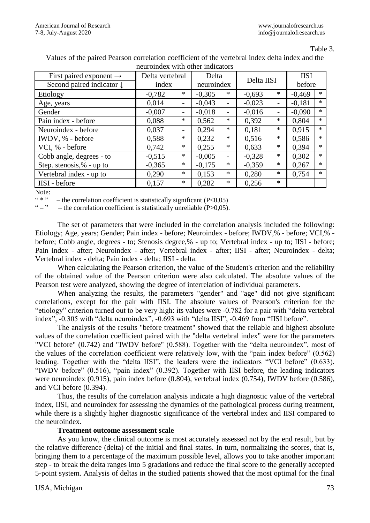Table 3.

Values of the paired Pearson correlation coefficient of the vertebral index delta index and the neuroindex with other indicators

| First paired exponent $\rightarrow$  | Delta vertebral |                          | Delta      |                          | Delta IISI |                          | <b>IISI</b> |        |  |  |
|--------------------------------------|-----------------|--------------------------|------------|--------------------------|------------|--------------------------|-------------|--------|--|--|
| Second paired indicator $\downarrow$ | index           |                          | neuroindex |                          |            |                          | before      |        |  |  |
| Etiology                             | $-0,782$        | $\ast$                   | $-0,305$   | $\ast$                   | $-0.693$   | $\ast$                   | $-0,469$    | $\ast$ |  |  |
| Age, years                           | 0,014           |                          | $-0,043$   |                          | $-0,023$   | $\overline{\phantom{0}}$ | $-0,181$    | $\ast$ |  |  |
| Gender                               | $-0,007$        | $\overline{\phantom{0}}$ | $-0,018$   | $\overline{\phantom{a}}$ | $-0,016$   | -                        | $-0,090$    | $\ast$ |  |  |
| Pain index - before                  | 0,088           | $\ast$                   | 0,562      | $\ast$                   | 0,392      | $\ast$                   | 0,804       | $\ast$ |  |  |
| Neuroindex - before                  | 0,037           | -                        | 0,294      | $*$                      | 0,181      | $\ast$                   | 0,915       | $\ast$ |  |  |
| IWDV, % - before                     | 0,588           | $\ast$                   | 0,232      | $*$                      | 0.516      | $\ast$                   | 0,586       | $\ast$ |  |  |
| VCI, % - before                      | 0,742           | *                        | 0,255      | $\ast$                   | 0,633      | $\ast$                   | 0,394       | $\ast$ |  |  |
| Cobb angle, degrees - to             | $-0,515$        | *                        | $-0,005$   | $\overline{\phantom{0}}$ | $-0,328$   | $\ast$                   | 0,302       | $\ast$ |  |  |
| Step. stenosis,% - up to             | $-0,365$        | $\ast$                   | $-0,175$   | $\ast$                   | $-0,359$   | $\ast$                   | 0,267       | $\ast$ |  |  |
| Vertebral index - up to              | 0,290           | $\ast$                   | 0,153      | $*$                      | 0,280      | $\ast$                   | 0,754       | $\ast$ |  |  |
| IISI - before                        | 0,157           | $\ast$                   | 0,282      | $\ast$                   | 0,256      | $\ast$                   |             |        |  |  |

Note:

"\*" – the correlation coefficient is statistically significant (P<0,05)<br>" – the correlation coefficient is statistically unreliable (P\s0,05)

 $-$  the correlation coefficient is statistically unreliable (P $>0.05$ ).

The set of parameters that were included in the correlation analysis included the following: Etiology; Age, years; Gender; Pain index - before; Neuroindex - before; IWDV,% - before; VCI,% before; Cobb angle, degrees - to; Stenosis degree,% - up to; Vertebral index - up to; IISI - before; Pain index - after; Neuroindex - after; Vertebral index - after; IISI - after; Neuroindex - delta; Vertebral index - delta; Pain index - delta; IISI - delta.

When calculating the Pearson criterion, the value of the Student's criterion and the reliability of the obtained value of the Pearson criterion were also calculated. The absolute values of the Pearson test were analyzed, showing the degree of interrelation of individual parameters.

When analyzing the results, the parameters "gender" and "age" did not give significant correlations, except for the pair with IISI. The absolute values of Pearson's criterion for the "etiology" criterion turned out to be very high: its values were -0.782 for a pair with "delta vertebral index", -0.305 with "delta neuroindex", -0.693 with "delta IISI", -0.469 from "IISI before".

The analysis of the results "before treatment" showed that the reliable and highest absolute values of the correlation coefficient paired with the "delta vertebral index" were for the parameters "VCI before" (0.742) and "IWDV before" (0.588). Together with the "delta neuroindex", most of the values of the correlation coefficient were relatively low, with the "pain index before" (0.562) leading. Together with the "delta IISI", the leaders were the indicators "VCI before" (0.633), "IWDV before" (0.516), "pain index" (0.392). Together with IISI before, the leading indicators were neuroindex (0.915), pain index before (0.804), vertebral index (0.754), IWDV before (0.586), and VCI before (0.394).

Thus, the results of the correlation analysis indicate a high diagnostic value of the vertebral index, IISI, and neuroindex for assessing the dynamics of the pathological process during treatment, while there is a slightly higher diagnostic significance of the vertebral index and IISI compared to the neuroindex.

### **Treatment outcome assessment scale**

As you know, the clinical outcome is most accurately assessed not by the end result, but by the relative difference (delta) of the initial and final states. In turn, normalizing the scores, that is, bringing them to a percentage of the maximum possible level, allows you to take another important step - to break the delta ranges into 5 gradations and reduce the final score to the generally accepted 5-point system. Analysis of deltas in the studied patients showed that the most optimal for the final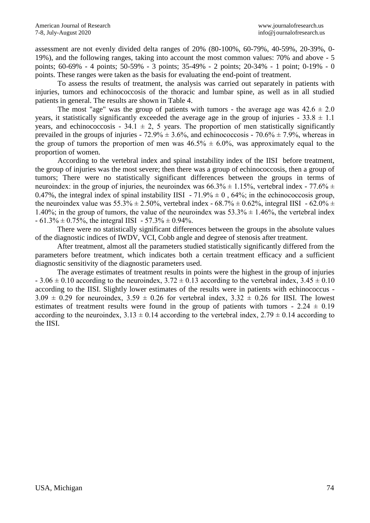assessment are not evenly divided delta ranges of 20% (80-100%, 60-79%, 40-59%, 20-39%, 0- 19%), and the following ranges, taking into account the most common values: 70% and above - 5 points; 60-69% - 4 points; 50-59% - 3 points; 35-49% - 2 points; 20-34% - 1 point; 0-19% - 0 points. These ranges were taken as the basis for evaluating the end-point of treatment.

To assess the results of treatment, the analysis was carried out separately in patients with injuries, tumors and echinococcosis of the thoracic and lumbar spine, as well as in all studied patients in general. The results are shown in Table 4.

The most "age" was the group of patients with tumors - the average age was  $42.6 \pm 2.0$ years, it statistically significantly exceeded the average age in the group of injuries -  $33.8 \pm 1.1$ years, and echinococcosis - 34.1  $\pm$  2, 5 years. The proportion of men statistically significantly prevailed in the groups of injuries -  $72.9\% \pm 3.6\%$ , and echinococcosis -  $70.6\% \pm 7.9\%$ , whereas in the group of tumors the proportion of men was  $46.5\% \pm 6.0\%$ , was approximately equal to the proportion of women.

According to the vertebral index and spinal instability index of the IISI before treatment, the group of injuries was the most severe; then there was a group of echinococcosis, then a group of tumors; There were no statistically significant differences between the groups in terms of neuroindex: in the group of injuries, the neuroindex was  $66.3\% \pm 1.15\%$ , vertebral index - 77.6%  $\pm$ 0.47%, the integral index of spinal instability IISI - 71.9%  $\pm$  0, 64%; in the echinococcosis group, the neuroindex value was  $55.3\% \pm 2.50\%$ , vertebral index -  $68.7\% \pm 0.62\%$ , integral IISI -  $62.0\% \pm 0.62\%$ 1.40%; in the group of tumors, the value of the neuroindex was  $53.3\% \pm 1.46\%$ , the vertebral index  $-61.3\% \pm 0.75\%$ , the integral IISI  $-57.3\% \pm 0.94\%$ .

There were no statistically significant differences between the groups in the absolute values of the diagnostic indices of IWDV, VCI, Cobb angle and degree of stenosis after treatment.

After treatment, almost all the parameters studied statistically significantly differed from the parameters before treatment, which indicates both a certain treatment efficacy and a sufficient diagnostic sensitivity of the diagnostic parameters used.

The average estimates of treatment results in points were the highest in the group of injuries  $-3.06 \pm 0.10$  according to the neuroindex,  $3.72 \pm 0.13$  according to the vertebral index,  $3.45 \pm 0.10$ according to the IISI. Slightly lower estimates of the results were in patients with echinococcus -  $3.09 \pm 0.29$  for neuroindex,  $3.59 \pm 0.26$  for vertebral index,  $3.32 \pm 0.26$  for IISI. The lowest estimates of treatment results were found in the group of patients with tumors -  $2.24 \pm 0.19$ according to the neuroindex,  $3.13 \pm 0.14$  according to the vertebral index,  $2.79 \pm 0.14$  according to the IISI.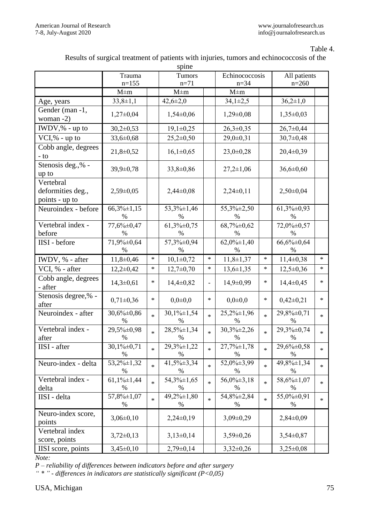### Table 4.

| Results of surgical treatment of patients with injuries, tumors and echinococcosis of the |  |  |  |
|-------------------------------------------------------------------------------------------|--|--|--|
|-------------------------------------------------------------------------------------------|--|--|--|

| spine                                            |                                |               |                                   |                |                           |              |                             |         |  |  |
|--------------------------------------------------|--------------------------------|---------------|-----------------------------------|----------------|---------------------------|--------------|-----------------------------|---------|--|--|
|                                                  | Trauma                         | <b>Tumors</b> |                                   | Echinococcosis |                           | All patients |                             |         |  |  |
|                                                  | $n=155$                        |               | $n=71$                            |                | $n = 34$                  |              | $n=260$                     |         |  |  |
|                                                  | $M \pm m$                      |               | $M \pm m$                         |                | $M \pm m$                 |              |                             |         |  |  |
| Age, years                                       | $33,8 \pm 1,1$                 |               | $42,6 \pm 2,0$                    |                | $34,1\pm2,5$              |              | $36,2{\pm}1,0$              |         |  |  |
| Gender (man -1,<br>woman $-2$ )                  | $1,27\pm0,04$                  |               | $1,54\pm0,06$                     |                | $1,29\pm0,08$             |              | $1,35\pm0,03$               |         |  |  |
| IWDV,% - up to                                   | $30,2\pm 0,53$                 |               | $19,1\pm0,25$                     |                | $26,3\pm0,35$             |              | $26,7 \pm 0,44$             |         |  |  |
| $VCI, % - up to$                                 | $33,6 \pm 0,68$                |               | $25,2\pm0,50$                     |                | $29,0 \pm 0,31$           |              | $30,7 \pm 0,48$             |         |  |  |
| Cobb angle, degrees<br>$-10$                     | $21,8+0,52$                    |               | $16,1\pm0,65$                     |                | $23,0+0,28$               |              | $20,4\pm 0,39$              |         |  |  |
| Stenosis deg.,% -<br>up to                       | 39,9±0,78                      |               | $33,8 \pm 0,86$                   |                | $27,2 \pm 1,06$           |              | $36,6 \pm 0,60$             |         |  |  |
| Vertebral<br>deformities deg.,<br>points - up to | $2,59\pm0,05$                  |               | $2,44\pm0,08$                     |                | $2,24\pm0,11$             |              | $2,50\pm0,04$               |         |  |  |
| Neuroindex - before                              | $66,3\% \pm 1,15$<br>$\%$      |               | 53,3%±1,46<br>%                   |                | 55,3%±2,50<br>$\%$        |              | $61,3\% \pm 0,93$<br>%      |         |  |  |
| Vertebral index -<br>before                      | 77,6% $\pm$ 0,47<br>$\%$       |               | $61,3\% \pm 0,75$<br>$\%$         |                | $68,7\% \pm 0,62$<br>$\%$ |              | 72,0%±0,57<br>$\frac{0}{0}$ |         |  |  |
| IISI - before                                    | 71,9% ±0,64<br>%               |               | 57,3%±0,94<br>%                   |                | $62,0\% \pm 1,40$<br>%    |              | 66,6%±0,64<br>$\%$          |         |  |  |
| IWDV, % - after                                  | $11,8+0,46$                    | $\ast$        | $10,1\pm0,72$                     | $\ast$         | $11,8 \pm 1,37$           | $\ast$       | $11,4\pm 0,38$              | $\ast$  |  |  |
| VCI, % - after                                   | $12,2\pm0,42$                  | $\ast$        | $12,7\pm0,70$                     | $\ast$         | $13,6 \pm 1,35$           | $\ast$       | $12,5 \pm 0,36$             | $\ast$  |  |  |
| Cobb angle, degrees<br>- after                   | $14,3 \pm 0,61$                | ∗             | $14,4\pm 0,82$                    |                | $14,9 \pm 0,99$           | $\ast$       | $14,4\pm0,45$               | $*$     |  |  |
| Stenosis degree,% -<br>after                     | $0,71\pm0,36$                  | $\ast$        | $0,0\pm 0,0$                      | $\ast$         | $0,0\pm 0,0$              | $\ast$       | $0,42\pm0,21$               | $\ast$  |  |  |
| Neuroindex - after                               | 30,6%±0,86<br>$\%$             | $\ast$        | $30,1\% \pm 1,54$<br>$\%$         | $\ast$         | $25,2\% \pm 1,96$<br>$\%$ | $\ast$       | 29,8%±0,71<br>%             | $\star$ |  |  |
| Vertebral index -<br>after                       | 29,5%±0,98<br>$\%$             | $\ast$        | 28,5%±1,34<br>$\%$                | $\ast$         | $30,3\% \pm 2,26$<br>$\%$ | $\ast$       | 29,3%±0,74<br>$\%$          | $\ast$  |  |  |
| IISI - after                                     | $30,1\% \pm 0,71$<br>%         | $\ast$        | $29,3\% \pm 1,22$<br>$\%$         | $\ast$         | $27,7\% \pm 1,78$<br>%    | $\ast$       | $29,6\% \pm 0,58$<br>%      | $\ast$  |  |  |
| Neuro-index - delta                              | $\overline{53,2\%}$ ±1,32<br>% | $\ast$        | $\overline{41,5\%}$ ±3,34<br>$\%$ | $\ast$         | 52,0%±3,99<br>$\%$        | $\ast$       | 49,8%±1,34<br>$\%$          | $\ast$  |  |  |
| Vertebral index -<br>delta                       | $61,1\% \pm 1,44$<br>$\%$      | $\ast$        | $54,3\% \pm 1,65$<br>%            | $\ast$         | $56,0\% \pm 3,18$<br>%    | $\ast$       | 58,6% ±1,07<br>$\%$         | $\ast$  |  |  |
| IISI - delta                                     | 57,8% ±1,07<br>$\%$            | $\ast$        | $49,2\% \pm 1,80$<br>$\%$         | $\ast$         | 54,8%±2,84<br>$\%$        | $\ast$       | 55,0%±0,91<br>%             | $\ast$  |  |  |
| Neuro-index score,<br>points                     | $3,06\pm0,10$                  |               | $2,24\pm0,19$                     |                | $3,09\pm0,29$             |              | $2,84\pm0,09$               |         |  |  |
| Vertebral index<br>score, points                 | $3,72\pm0,13$                  |               | $3,13\pm0,14$                     |                | $3,59\pm0,26$             |              | $3,54\pm0,87$               |         |  |  |
| IISI score, points                               | $3,45\pm0,10$                  |               | $2,79\pm0,14$                     |                | $3,32\pm0,26$             |              | $3,25\pm0,08$               |         |  |  |

*Note:* 

*P – reliability of differences between indicators before and after surgery*

*" \* " - differences in indicators are statistically significant (P<0,05)*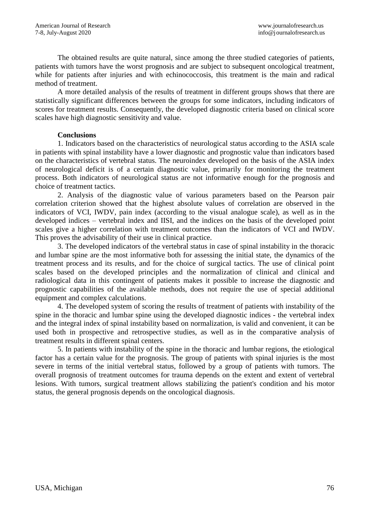The obtained results are quite natural, since among the three studied categories of patients, patients with tumors have the worst prognosis and are subject to subsequent oncological treatment, while for patients after injuries and with echinococcosis, this treatment is the main and radical method of treatment.

A more detailed analysis of the results of treatment in different groups shows that there are statistically significant differences between the groups for some indicators, including indicators of scores for treatment results. Consequently, the developed diagnostic criteria based on clinical score scales have high diagnostic sensitivity and value.

# **Conclusions**

1. Indicators based on the characteristics of neurological status according to the ASIA scale in patients with spinal instability have a lower diagnostic and prognostic value than indicators based on the characteristics of vertebral status. The neuroindex developed on the basis of the ASIA index of neurological deficit is of a certain diagnostic value, primarily for monitoring the treatment process. Both indicators of neurological status are not informative enough for the prognosis and choice of treatment tactics.

2. Analysis of the diagnostic value of various parameters based on the Pearson pair correlation criterion showed that the highest absolute values of correlation are observed in the indicators of VCI, IWDV, pain index (according to the visual analogue scale), as well as in the developed indices – vertebral index and IISI, and the indices on the basis of the developed point scales give a higher correlation with treatment outcomes than the indicators of VCI and IWDV. This proves the advisability of their use in clinical practice.

3. The developed indicators of the vertebral status in case of spinal instability in the thoracic and lumbar spine are the most informative both for assessing the initial state, the dynamics of the treatment process and its results, and for the choice of surgical tactics. The use of clinical point scales based on the developed principles and the normalization of clinical and clinical and radiological data in this contingent of patients makes it possible to increase the diagnostic and prognostic capabilities of the available methods, does not require the use of special additional equipment and complex calculations.

4. The developed system of scoring the results of treatment of patients with instability of the spine in the thoracic and lumbar spine using the developed diagnostic indices - the vertebral index and the integral index of spinal instability based on normalization, is valid and convenient, it can be used both in prospective and retrospective studies, as well as in the comparative analysis of treatment results in different spinal centers.

5. In patients with instability of the spine in the thoracic and lumbar regions, the etiological factor has a certain value for the prognosis. The group of patients with spinal injuries is the most severe in terms of the initial vertebral status, followed by a group of patients with tumors. The overall prognosis of treatment outcomes for trauma depends on the extent and extent of vertebral lesions. With tumors, surgical treatment allows stabilizing the patient's condition and his motor status, the general prognosis depends on the oncological diagnosis.